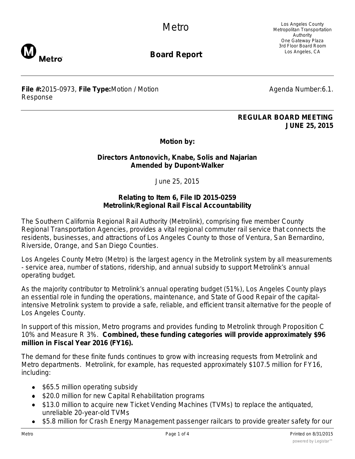

Los Angeles County Metropolitan Transportation Authority One Gateway Plaza 3rd Floor Board Room Los Angeles, CA



**Board Report**

**File #:**2015-0973, **File Type:**Motion / Motion Response

Agenda Number:6.1.

## **REGULAR BOARD MEETING JUNE 25, 2015**

**Motion by:**

## **Directors Antonovich, Knabe, Solis and Najarian Amended by Dupont-Walker**

June 25, 2015

## **Relating to Item 6, File ID 2015-0259 Metrolink/Regional Rail Fiscal Accountability**

The Southern California Regional Rail Authority (Metrolink), comprising five member County Regional Transportation Agencies, provides a vital regional commuter rail service that connects the residents, businesses, and attractions of Los Angeles County to those of Ventura, San Bernardino, Riverside, Orange, and San Diego Counties.

Los Angeles County Metro (Metro) is the largest agency in the Metrolink system by all measurements - service area, number of stations, ridership, and annual subsidy to support Metrolink's annual operating budget.

As the majority contributor to Metrolink's annual operating budget (51%), Los Angeles County plays an essential role in funding the operations, maintenance, and State of Good Repair of the capitalintensive Metrolink system to provide a safe, reliable, and efficient transit alternative for the people of Los Angeles County.

In support of this mission, Metro programs and provides funding to Metrolink through Proposition C 10% and Measure R 3%. **Combined, these funding categories will provide approximately \$96 million in Fiscal Year 2016 (FY16).**

The demand for these finite funds continues to grow with increasing requests from Metrolink and Metro departments. Metrolink, for example, has requested approximately \$107.5 million for FY16, including:

- \$65.5 million operating subsidy
- \$20.0 million for new Capital Rehabilitation programs
- \$13.0 million to acquire new Ticket Vending Machines (TVMs) to replace the antiquated, unreliable 20-year-old TVMs
- \$5.8 million for Crash Energy Management passenger railcars to provide greater safety for our  $\bullet$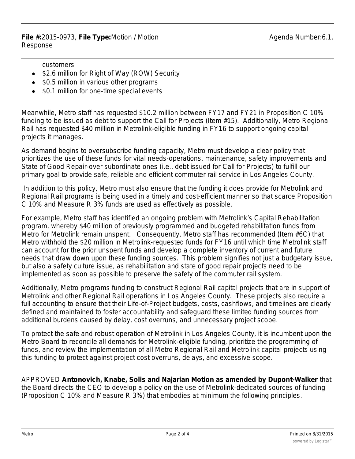**File #:**2015-0973, **File Type:**Motion / Motion Response

customers

- \$2.6 million for Right of Way (ROW) Security
- \$0.5 million in various other programs
- \$0.1 million for one-time special events

Meanwhile, Metro staff has requested \$10.2 million between FY17 and FY21 in Proposition C 10% funding to be issued as debt to support the Call for Projects (Item #15). Additionally, Metro Regional Rail has requested \$40 million in Metrolink-eligible funding in FY16 to support ongoing capital projects it manages.

As demand begins to oversubscribe funding capacity, Metro must develop a clear policy that prioritizes the use of these funds for vital needs-operations, maintenance, safety improvements and State of Good Repair-over subordinate ones (i.e., debt issued for Call for Projects) to fulfill our primary goal to provide safe, reliable and efficient commuter rail service in Los Angeles County.

 In addition to this policy, Metro must also ensure that the funding it does provide for Metrolink and Regional Rail programs is being used in a timely and cost-efficient manner so that scarce Proposition C 10% and Measure R 3% funds are used as effectively as possible.

For example, Metro staff has identified an ongoing problem with Metrolink's Capital Rehabilitation program, whereby \$40 million of previously programmed and budgeted rehabilitation funds from Metro for Metrolink remain unspent. Consequently, Metro staff has recommended (Item #6C) that Metro withhold the \$20 million in Metrolink-requested funds for FY16 until which time Metrolink staff can account for the prior unspent funds and develop a complete inventory of current and future needs that draw down upon these funding sources. This problem signifies not just a budgetary issue, but also a safety culture issue, as rehabilitation and state of good repair projects need to be implemented as soon as possible to preserve the safety of the commuter rail system.

Additionally, Metro programs funding to construct Regional Rail capital projects that are in support of Metrolink and other Regional Rail operations in Los Angeles County. These projects also require a full accounting to ensure that their Life-of-Project budgets, costs, cashflows, and timelines are clearly defined and maintained to foster accountability and safeguard these limited funding sources from additional burdens caused by delay, cost overruns, and unnecessary project scope.

To protect the safe and robust operation of Metrolink in Los Angeles County, it is incumbent upon the Metro Board to reconcile all demands for Metrolink-eligible funding, prioritize the programming of funds, and review the implementation of all Metro Regional Rail and Metrolink capital projects using this funding to protect against project cost overruns, delays, and excessive scope.

APPROVED **Antonovich, Knabe, Solis and Najarian Motion as amended by Dupont-Walker** that the Board directs the CEO to develop a policy on the use of Metrolink-dedicated sources of funding (Proposition C 10% and Measure R 3%) that embodies at minimum the following principles.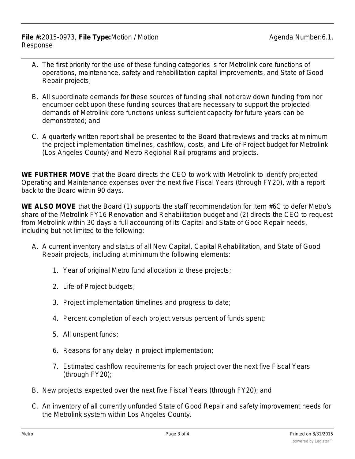**File #:**2015-0973, **File Type:**Motion / Motion Response

- A. The first priority for the use of these funding categories is for Metrolink core functions of operations, maintenance, safety and rehabilitation capital improvements, and State of Good Repair projects;
- B. All subordinate demands for these sources of funding shall not draw down funding from nor encumber debt upon these funding sources that are necessary to support the projected demands of Metrolink core functions unless sufficient capacity for future years can be demonstrated; and
- C. A quarterly written report shall be presented to the Board that reviews and tracks at minimum the project implementation timelines, cashflow, costs, and Life-of-Project budget for Metrolink (Los Angeles County) and Metro Regional Rail programs and projects.

**WE FURTHER MOVE** that the Board directs the CEO to work with Metrolink to identify projected Operating and Maintenance expenses over the next five Fiscal Years (through FY20), with a report back to the Board within 90 days.

**WE ALSO MOVE** that the Board (1) supports the staff recommendation for Item #6C to defer Metro's share of the Metrolink FY16 Renovation and Rehabilitation budget and (2) directs the CEO to request from Metrolink within 30 days a full accounting of its Capital and State of Good Repair needs, including but not limited to the following:

- A. A current inventory and status of all New Capital, Capital Rehabilitation, and State of Good Repair projects, including at minimum the following elements:
	- 1. Year of original Metro fund allocation to these projects;
	- 2. Life-of-Project budgets;
	- 3. Project implementation timelines and progress to date;
	- 4. Percent completion of each project versus percent of funds spent;
	- 5. All unspent funds;
	- 6. Reasons for any delay in project implementation;
	- 7. Estimated cashflow requirements for each project over the next five Fiscal Years (through FY20);
- B. New projects expected over the next five Fiscal Years (through FY20); and
- C. An inventory of all currently unfunded State of Good Repair and safety improvement needs for the Metrolink system within Los Angeles County.